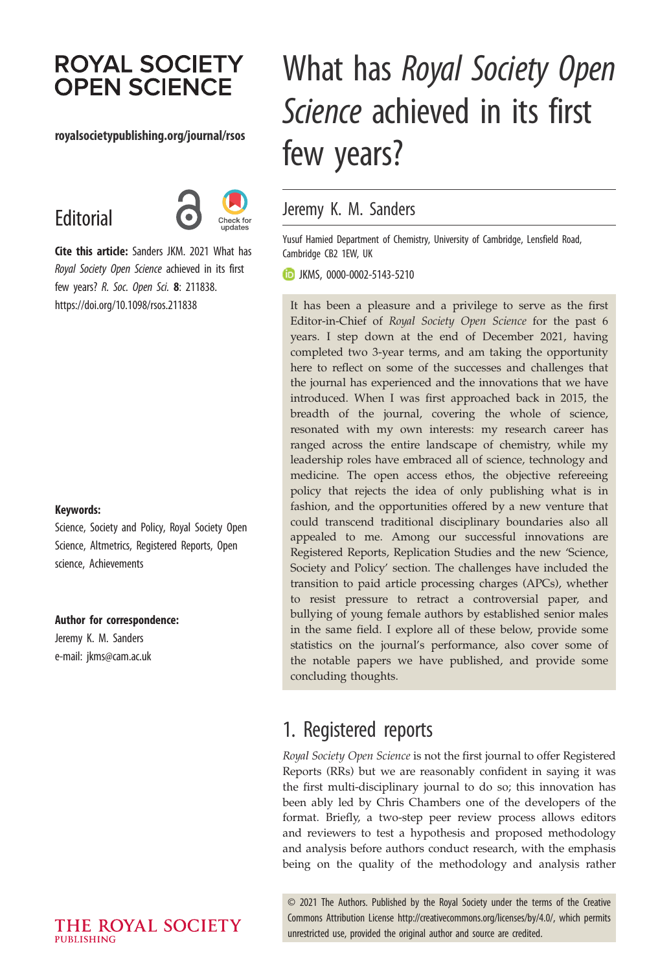# **ROYAL SOCIETY OPEN SCIENCE**

#### royalsocietypublishing.org/journal/rsos

# **Editorial**



Cite this article: Sanders JKM. 2021 What has Royal Society Open Science achieved in its first few years? R. Soc. Open Sci. 8: 211838. https://doi.org/10.1098/rsos.211838

#### Keywords:

Science, Society and Policy, Royal Society Open Science, Altmetrics, Registered Reports, Open science, Achievements

#### Author for correspondence:

Jeremy K. M. Sanders e-mail: [jkms@cam.ac.uk](mailto:jkms@cam.ac.uk)

# What has Royal Society Open Science achieved in its first few years?

#### Jeremy K. M. Sanders

Yusuf Hamied Department of Chemistry, University of Cambridge, Lensfield Road, Cambridge CB2 1EW, UK

JKMS, [0000-0002-5143-5210](http://orcid.org/0000-0002-5143-5210)

It has been a pleasure and a privilege to serve as the first Editor-in-Chief of Royal Society Open Science for the past 6 years. I step down at the end of December 2021, having completed two 3-year terms, and am taking the opportunity here to reflect on some of the successes and challenges that the journal has experienced and the innovations that we have introduced. When I was first approached back in 2015, the breadth of the journal, covering the whole of science, resonated with my own interests: my research career has ranged across the entire landscape of chemistry, while my leadership roles have embraced all of science, technology and medicine. The open access ethos, the objective refereeing policy that rejects the idea of only publishing what is in fashion, and the opportunities offered by a new venture that could transcend traditional disciplinary boundaries also all appealed to me. Among our successful innovations are Registered Reports, Replication Studies and the new 'Science, Society and Policy' section. The challenges have included the transition to paid article processing charges (APCs), whether to resist pressure to retract a controversial paper, and bullying of young female authors by established senior males in the same field. I explore all of these below, provide some statistics on the journal's performance, also cover some of the notable papers we have published, and provide some concluding thoughts.

## 1. Registered reports

Royal Society Open Science is not the first journal to offer [Registered](https://royalsocietypublishing.org/rsos/registered-reports) [Reports](https://royalsocietypublishing.org/rsos/registered-reports) (RRs) but we are reasonably confident in saying it was the first multi-disciplinary journal to do so; this innovation has been ably led by Chris Chambers one of the developers of the format. Briefly, a two-step peer review process allows editors and reviewers to test a hypothesis and proposed methodology and analysis before authors conduct research, with the emphasis being on the quality of the methodology and analysis rather

© 2021 The Authors. Published by the Royal Society under the terms of the Creative Commons Attribution License<http://creativecommons.org/licenses/by/4.0/>, which permits unrestricted use, provided the original author and source are credited.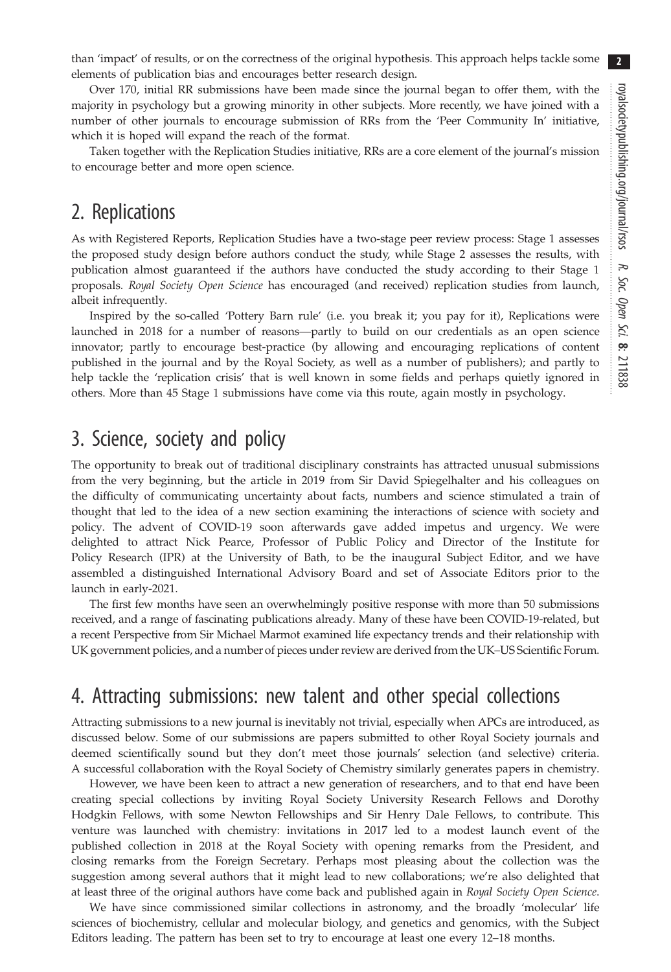than 'impact' of results, or on the correctness of the original hypothesis. This approach helps tackle some elements of publication bias and encourages better research design.

Over 170, initial RR submissions have been made since the journal began to offer them, with the majority in psychology but a growing minority in other subjects. More recently, we have joined with a number of other journals to encourage submission of RRs from the 'Peer Community In' initiative, which it is hoped will expand the reach of the format.

Taken together with the Replication Studies initiative, RRs are a core element of the journal's mission to encourage better and more open science.

#### 2. Replications

As with Registered Reports, [Replication Studies](https://royalsocietypublishing.org/rsos/replication-studies) have a two-stage peer review process: Stage 1 assesses the proposed study design before authors conduct the study, while Stage 2 assesses the results, with publication almost guaranteed if the authors have conducted the study according to their Stage 1 proposals. Royal Society Open Science has encouraged (and received) replication studies from launch, albeit infrequently.

Inspired by the so-called 'Pottery Barn rule' (i.e. you break it; you pay for it), Replications were launched in 2018 for a number of reasons—partly to build on our credentials as an open science innovator; partly to encourage best-practice (by allowing and encouraging replications of content published in the journal and by the Royal Society, as well as a number of publishers); and partly to help tackle the 'replication crisis' that is well known in some fields and perhaps quietly ignored in others. More than 45 Stage 1 submissions have come via this route, again mostly in psychology.

## 3. Science, society and policy

The opportunity to break out of traditional disciplinary constraints has attracted unusual submissions from the very beginning, but the article in 2019 from Sir David Spiegelhalter and his colleagues on [the difficulty of communicating uncertainty about facts, numbers and science](https://doi.org/10.1098/rsos.181870) stimulated a train of thought that led to the idea of a new section examining the interactions of [science with society and](https://royalsocietypublishing.org/rsos/ssp) [policy.](https://royalsocietypublishing.org/rsos/ssp) The advent of COVID-19 soon afterwards gave added impetus and urgency. We were delighted to attract Nick Pearce, Professor of Public Policy and Director of the Institute for Policy Research (IPR) at the University of Bath, to be the inaugural Subject Editor, and we have assembled a distinguished International Advisory Board and set of Associate Editors prior to the launch in early-2021.

The first few months have seen an overwhelmingly positive response with more than 50 submissions received, and a range of fascinating publications already. Many of these have been COVID-19-related, but a recent Perspective from Sir Michael Marmot [examined life expectancy trends and their relationship with](https://royalsocietypublishing.org/doi/10.1098/rsos.211454) [UK government policies,](https://royalsocietypublishing.org/doi/10.1098/rsos.211454) and a number of pieces under review are derived from the UK–[US Scientific Forum](https://royalsociety.org/about-us/international/international-work/us-uk-scientific-forum-sustainable-agriculture/).

## 4. Attracting submissions: new talent and other special collections

Attracting submissions to a new journal is inevitably not trivial, especially when APCs are introduced, as discussed below. Some of our submissions are papers submitted to other Royal Society journals and deemed scientifically sound but they don't meet those journals' selection (and selective) criteria. A successful collaboration with the Royal Society of Chemistry similarly generates papers in chemistry.

However, we have been keen to attract a new generation of researchers, and to that end have been creating special collections by inviting Royal Society University Research Fellows and Dorothy Hodgkin Fellows, with some Newton Fellowships and Sir Henry Dale Fellows, to contribute. This venture [was launched with chemistry:](https://royalsocietypublishing.org/topic/special-collections/new-talent) invitations in 2017 led to a modest launch event of the published collection in 2018 at the Royal Society with opening remarks from the President, and closing remarks from the Foreign Secretary. Perhaps most pleasing about the collection was the suggestion among several authors that it might lead to new collaborations; we're also delighted that at least three of the original authors have come back and published again in Royal Society Open Science.

We have since commissioned similar collections in astronomy, and the broadly 'molecular' life sciences of biochemistry, cellular and molecular biology, and genetics and genomics, with the Subject Editors leading. The pattern has been set to try to encourage at least one every 12–18 months.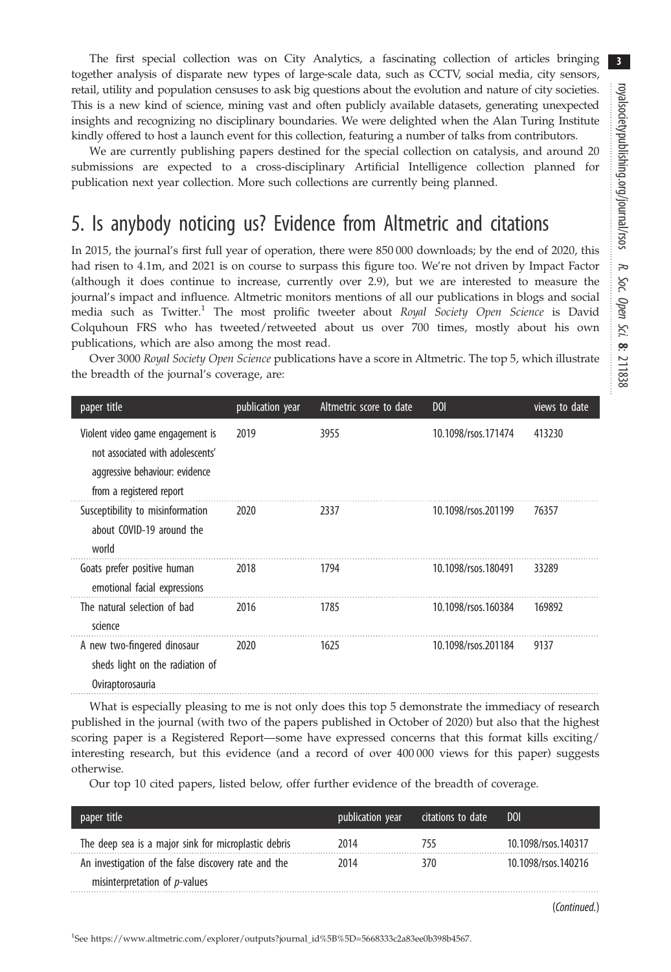The first special collection was on City Analytics, a fascinating collection of articles bringing together analysis of disparate new types of large-scale data, such as CCTV, social media, city sensors, retail, utility and population censuses to ask [big questions about the evolution and nature of city societies](https://royalsocietypublishing.org/doi/10.1098/rsos.161063). This is a new kind of science, mining vast and often publicly available datasets, generating unexpected insights and recognizing no disciplinary boundaries. We were delighted when the Alan Turing Institute kindly offered to host a launch event for this collection, [featuring a number of talks from contributors.](https://www.youtube.com/watch?v=OQVMpHRojdw)

We are currently publishing papers destined for the special collection on catalysis, and around 20 submissions are expected to a cross-disciplinary Artificial Intelligence collection planned for publication next year collection. More such collections are currently being planned.

# 5. Is anybody noticing us? Evidence from Altmetric and citations

In 2015, the journal's first full year of operation, there were 850 000 downloads; by the end of 2020, this had risen to 4.1m, and 2021 is on course to surpass this figure too. We're not driven by Impact Factor (although it does continue to increase, currently over 2.9), but we are interested to measure the journal's impact and influence. Altmetric monitors mentions of all our publications in blogs and social media such as Twitter.<sup>1</sup> The most prolific tweeter about Royal Society Open Science is David Colquhoun FRS who has tweeted/retweeted about us over 700 times, mostly about his own publications, which are also among the most read.

Over 3000 Royal Society Open Science publications have a score in Altmetric. The top 5, which illustrate the breadth of the journal's coverage, are:

| paper title                                                                                                                        | publication year | Altmetric score to date | <b>DOI</b>          | views to date |
|------------------------------------------------------------------------------------------------------------------------------------|------------------|-------------------------|---------------------|---------------|
| Violent video game engagement is<br>not associated with adolescents'<br>aggressive behaviour: evidence<br>from a registered report | 2019             | 3955                    | 10.1098/rsos.171474 | 413230        |
| Susceptibility to misinformation<br>about COVID-19 around the<br>world                                                             | 2020             | 2337                    | 10.1098/rsos.201199 | 76357         |
| Goats prefer positive human<br>emotional facial expressions                                                                        | 2018             | 1794                    | 10.1098/rsos.180491 | 33289         |
| The natural selection of bad<br>science                                                                                            | 2016             | 1785                    | 10.1098/rsos.160384 | 169892        |
| A new two-fingered dinosaur<br>sheds light on the radiation of<br>Oviraptorosauria                                                 | 2020             | 1625                    | 10.1098/rsos.201184 | 9137          |

What is especially pleasing to me is not only does this top 5 demonstrate the immediacy of research published in the journal (with two of the papers published in October of 2020) but also that the highest scoring paper is a Registered Report—some have expressed concerns that this format kills exciting/ interesting research, but this evidence (and a record of over 400 000 views for this paper) suggests otherwise.

Our top 10 cited papers, listed below, offer further evidence of the breadth of coverage.

| paper title                                          | publication year | citations to date | DOI                     |
|------------------------------------------------------|------------------|-------------------|-------------------------|
| The deep sea is a major sink for microplastic debris | 2014             | 755               | 10.1098/rsos.140317     |
| An investigation of the false discovery rate and the | 2014             | 370               | 10.1098/rsos.140216     |
| misinterpretation of $p$ -values                     |                  |                   |                         |
|                                                      |                  |                   | $(\mathcal{C}_{\alpha}$ |

(Continued.)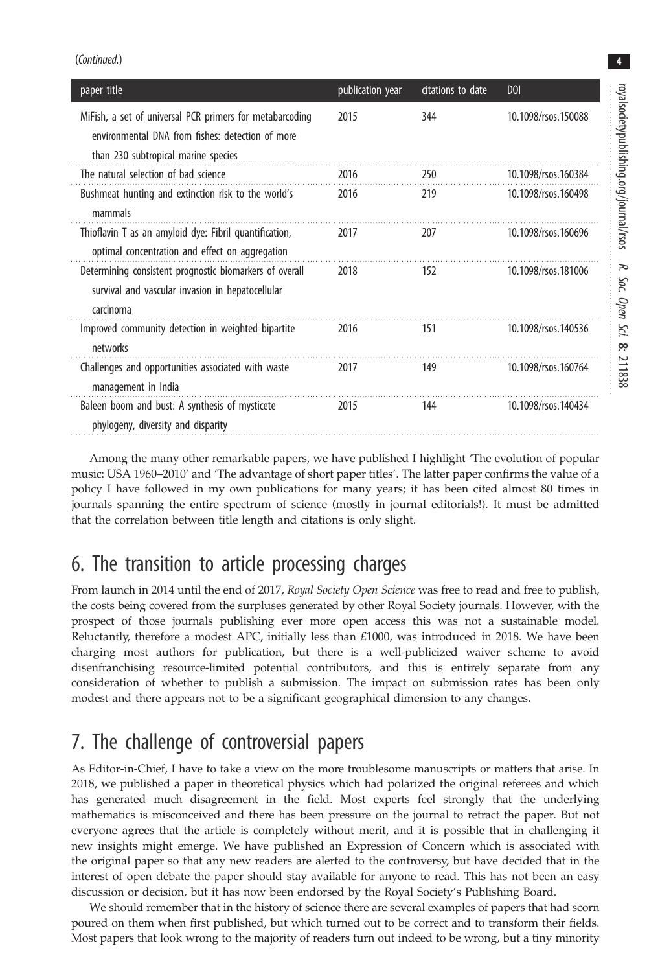| paper title                                                                                                                                         | publication year | citations to date | <b>DOI</b>          |
|-----------------------------------------------------------------------------------------------------------------------------------------------------|------------------|-------------------|---------------------|
| MiFish, a set of universal PCR primers for metabarcoding<br>environmental DNA from fishes: detection of more<br>than 230 subtropical marine species | 2015             | 344               | 10.1098/rsos.150088 |
| The natural selection of had science                                                                                                                | 2016             | 250               | 10.1098/rsos.160384 |
| Bushmeat hunting and extinction risk to the world's<br>mammals                                                                                      | 2016             | 219               | 10.1098/rsos.160498 |
| Thioflavin T as an amyloid dye: Fibril quantification,<br>optimal concentration and effect on aggregation                                           | 2017             | 207               | 10.1098/rsos.160696 |
| Determining consistent prognostic biomarkers of overall<br>survival and vascular invasion in hepatocellular<br>carcinoma                            | 2018             | 152               | 10.1098/rsos.181006 |
| Improved community detection in weighted bipartite<br>networks                                                                                      | 2016             | 151               | 10.1098/rsos.140536 |
| Challenges and opportunities associated with waste<br>management in India                                                                           | 2017             | 149               | 10.1098/rsos.160764 |
| Baleen boom and bust: A synthesis of mysticete<br>phylogeny, diversity and disparity                                                                | 2015             | 144               | 10.1098/rsos.140434 |

Among the many other remarkable papers, we have published I highlight '[The evolution of popular](https://doi.org/10.1098/rsos.150081) [music: USA 1960](https://doi.org/10.1098/rsos.150081)–2010' and '[The advantage of short paper titles](https://doi.org/10.1098/rsos.150266)'. The latter paper confirms the value of a policy I have followed in my own publications for many years; it has been cited almost 80 times in journals spanning the entire spectrum of science (mostly in journal editorials!). It must be admitted that the correlation between title length and citations is only slight.

# 6. The transition to article processing charges

From launch in 2014 until the end of 2017, Royal Society Open Science was free to read and free to publish, the costs being covered from the surpluses generated by other Royal Society journals. However, with the prospect of those journals publishing ever more open access this was not a sustainable model. Reluctantly, therefore a modest APC, initially less than  $£1000$ , was introduced in 2018. We have been charging most authors for publication, but there is a [well-publicized waiver scheme](https://royalsocietypublishing.org/rsos/waivers) to avoid disenfranchising resource-limited potential contributors, and this is entirely separate from any consideration of whether to publish a submission. The impact on submission rates has been only modest and there appears not to be a significant geographical dimension to any changes.

# 7. The challenge of controversial papers

As Editor-in-Chief, I have to take a view on the more troublesome manuscripts or matters that arise. In 2018, we [published a paper in theoretical physics](https://royalsocietypublishing.org/doi/10.1098/rsos.180526) which had polarized the original referees and which has generated much disagreement in the field. Most experts feel strongly that the underlying mathematics is misconceived and there has been pressure on the journal to retract the paper. But not everyone agrees that the article is completely without merit, and it is possible that in challenging it new insights might emerge. We [have published an Expression of Concern](https://royalsocietypublishing.org/doi/10.1098/rsos.201777) which is associated with the original paper so that any new readers are alerted to the controversy, but have decided that in the interest of open debate the paper should stay available for anyone to read. This has not been an easy discussion or decision, but it has now been endorsed by the Royal Society's Publishing Board.

We should remember that in the history of science there are several examples of papers that had scorn poured on them when first published, but which turned out to be correct and to transform their fields. Most papers that look wrong to the majority of readers turn out indeed to be wrong, but a tiny minority

4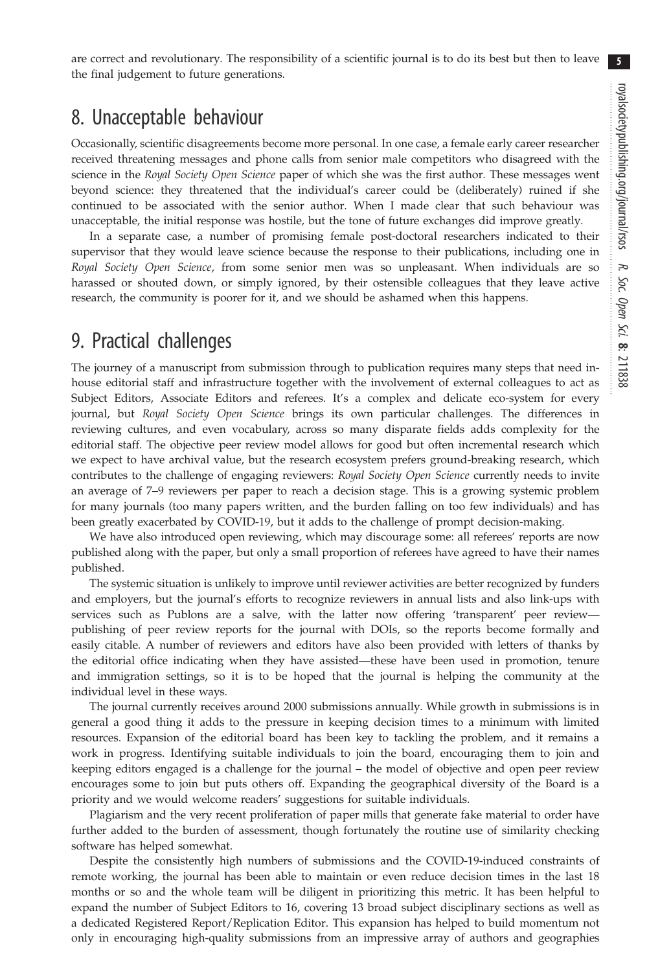5

are correct and revolutionary. The responsibility of a scientific journal is to do its best but then to leave the final judgement to future generations.

# 8. Unacceptable behaviour

Occasionally, scientific disagreements become more personal. In one case, a female early career researcher received threatening messages and phone calls from senior male competitors who disagreed with the science in the Royal Society Open Science paper of which she was the first author. These messages went beyond science: they threatened that the individual's career could be (deliberately) ruined if she continued to be associated with the senior author. When I made clear that such behaviour was unacceptable, the initial response was hostile, but the tone of future exchanges did improve greatly.

In a separate case, a number of promising female post-doctoral researchers indicated to their supervisor that they would leave science because the response to their publications, including one in Royal Society Open Science, from some senior men was so unpleasant. When individuals are so harassed or shouted down, or simply ignored, by their ostensible colleagues that they leave active research, the community is poorer for it, and we should be ashamed when this happens.

# 9. Practical challenges

The journey of a manuscript from submission through to publication requires many steps that need inhouse editorial staff and infrastructure together with the involvement of external colleagues to act as Subject Editors, Associate Editors and referees. It's a complex and delicate eco-system for every journal, but Royal Society Open Science brings its own particular challenges. The differences in reviewing cultures, and even vocabulary, across so many disparate fields adds complexity for the editorial staff. The objective peer review model allows for good but often incremental research which we expect to have archival value, but the research ecosystem prefers ground-breaking research, which contributes to the challenge of engaging reviewers: Royal Society Open Science currently needs to invite an average of 7–9 reviewers per paper to reach a decision stage. This is a growing systemic problem for many journals (too many papers written, and the burden falling on too few individuals) and has been greatly exacerbated by COVID-19, but it adds to the challenge of prompt decision-making.

We have also introduced open reviewing, which may discourage some: all referees' reports are now published along with the paper, but only a small proportion of referees have agreed to have their names published.

The systemic situation is unlikely to improve until reviewer activities are better recognized by funders and employers, but the journal's efforts to recognize reviewers in annual lists and also link-ups with services such as Publons are a salve, with the latter now offering 'transparent' peer review publishing of peer review reports for the journal with DOIs, so the reports become formally and easily citable. A number of reviewers and editors have also been provided with letters of thanks by the editorial office indicating when they have assisted—these have been used in promotion, tenure and immigration settings, so it is to be hoped that the journal is helping the community at the individual level in these ways.

The journal currently receives around 2000 submissions annually. While growth in submissions is in general a good thing it adds to the pressure in keeping decision times to a minimum with limited resources. Expansion of the editorial board has been key to tackling the problem, and it remains a work in progress. Identifying suitable individuals to join the board, encouraging them to join and keeping editors engaged is a challenge for the journal – the model of objective and open peer review encourages some to join but puts others off. Expanding the geographical diversity of the Board is a priority and we would welcome readers' suggestions for suitable individuals.

Plagiarism and the very recent proliferation of paper mills that generate fake material to order have further added to the burden of assessment, though fortunately the routine use of similarity checking software has helped somewhat.

Despite the consistently high numbers of submissions and the COVID-19-induced constraints of remote working, the journal has been able to maintain or even reduce decision times in the last 18 months or so and the whole team will be diligent in prioritizing this metric. It has been helpful to expand the number of Subject Editors to 16, covering 13 broad subject disciplinary sections as well as a dedicated Registered Report/Replication Editor. This expansion has helped to build momentum not only in encouraging high-quality submissions from an impressive array of authors and geographies